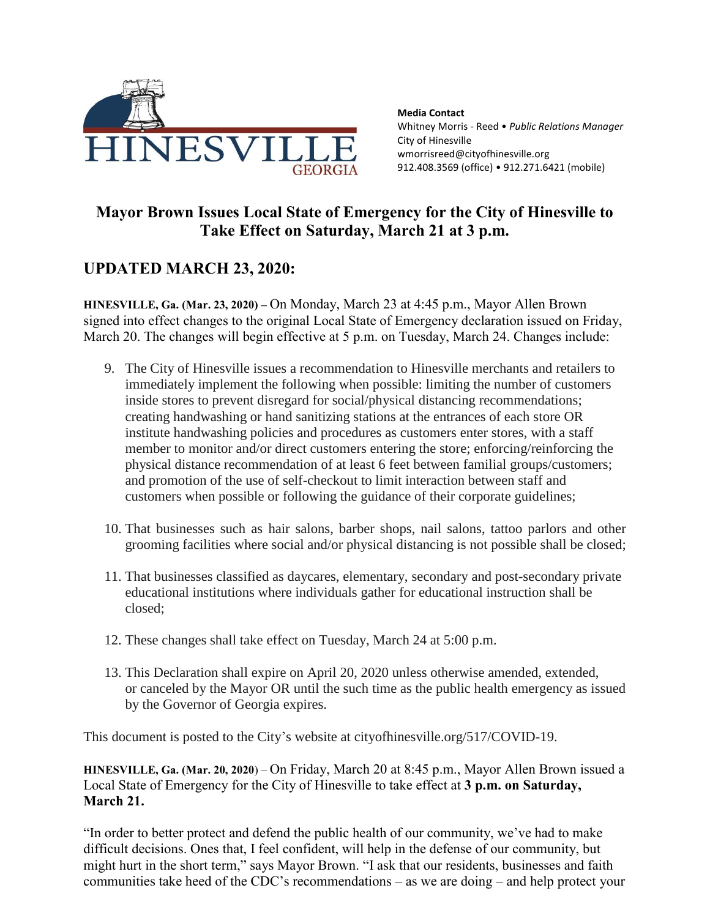

**Media Contact** Whitney Morris - Reed • *Public Relations Manager* City of Hinesville wmorrisreed@cityofhinesville.org 912.408.3569 (office) • 912.271.6421 (mobile)

## **Mayor Brown Issues Local State of Emergency for the City of Hinesville to Take Effect on Saturday, March 21 at 3 p.m.**

## **UPDATED MARCH 23, 2020:**

**HINESVILLE, Ga. (Mar. 23, 2020) –** On Monday, March 23 at 4:45 p.m., Mayor Allen Brown signed into effect changes to the original Local State of Emergency declaration issued on Friday, March 20. The changes will begin effective at 5 p.m. on Tuesday, March 24. Changes include:

- 9. The City of Hinesville issues a recommendation to Hinesville merchants and retailers to immediately implement the following when possible: limiting the number of customers inside stores to prevent disregard for social/physical distancing recommendations; creating handwashing or hand sanitizing stations at the entrances of each store OR institute handwashing policies and procedures as customers enter stores, with a staff member to monitor and/or direct customers entering the store; enforcing/reinforcing the physical distance recommendation of at least 6 feet between familial groups/customers; and promotion of the use of self-checkout to limit interaction between staff and customers when possible or following the guidance of their corporate guidelines;
- 10. That businesses such as hair salons, barber shops, nail salons, tattoo parlors and other grooming facilities where social and/or physical distancing is not possible shall be closed;
- 11. That businesses classified as daycares, elementary, secondary and post-secondary private educational institutions where individuals gather for educational instruction shall be closed;
- 12. These changes shall take effect on Tuesday, March 24 at 5:00 p.m.
- 13. This Declaration shall expire on April 20, 2020 unless otherwise amended, extended, or canceled by the Mayor OR until the such time as the public health emergency as issued by the Governor of Georgia expires.

This document is posted to the City's website at cityofhinesville.org/517/COVID-19.

**HINESVILLE, Ga. (Mar. 20, 2020**) – On Friday, March 20 at 8:45 p.m., Mayor Allen Brown issued a Local State of Emergency for the City of Hinesville to take effect at **3 p.m. on Saturday, March 21.** 

"In order to better protect and defend the public health of our community, we've had to make difficult decisions. Ones that, I feel confident, will help in the defense of our community, but might hurt in the short term," says Mayor Brown. "I ask that our residents, businesses and faith communities take heed of the CDC's recommendations – as we are doing – and help protect your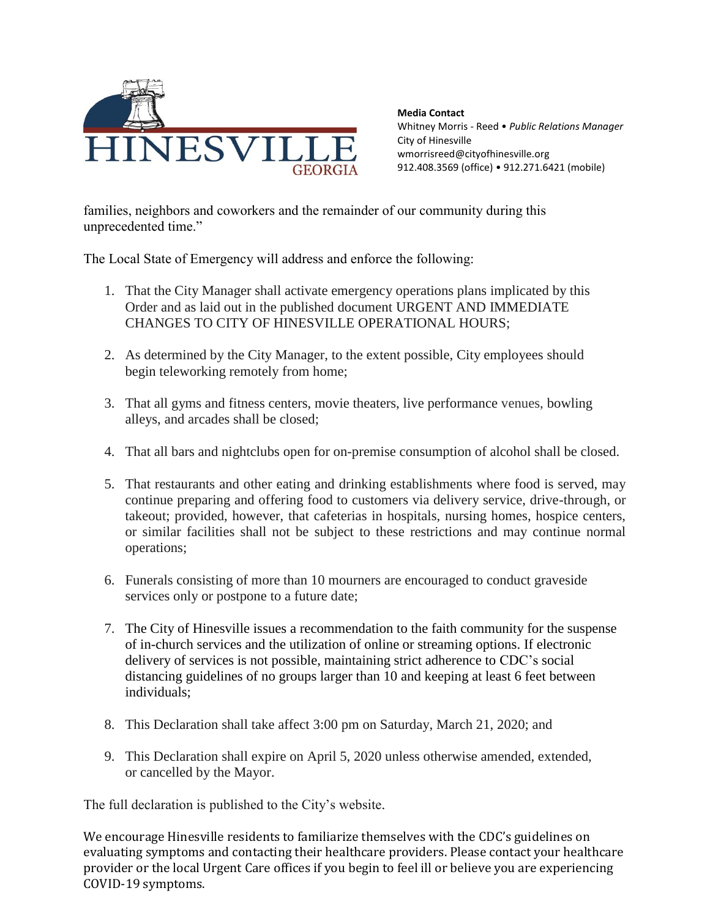

**Media Contact** Whitney Morris - Reed • *Public Relations Manager* City of Hinesville wmorrisreed@cityofhinesville.org 912.408.3569 (office) • 912.271.6421 (mobile)

families, neighbors and coworkers and the remainder of our community during this unprecedented time."

The Local State of Emergency will address and enforce the following:

- 1. That the City Manager shall activate emergency operations plans implicated by this Order and as laid out in the published document URGENT AND IMMEDIATE CHANGES TO CITY OF HINESVILLE OPERATIONAL HOURS;
- 2. As determined by the City Manager, to the extent possible, City employees should begin teleworking remotely from home;
- 3. That all gyms and fitness centers, movie theaters, live performance venues, bowling alleys, and arcades shall be closed;
- 4. That all bars and nightclubs open for on-premise consumption of alcohol shall be closed.
- 5. That restaurants and other eating and drinking establishments where food is served, may continue preparing and offering food to customers via delivery service, drive-through, or takeout; provided, however, that cafeterias in hospitals, nursing homes, hospice centers, or similar facilities shall not be subject to these restrictions and may continue normal operations;
- 6. Funerals consisting of more than 10 mourners are encouraged to conduct graveside services only or postpone to a future date;
- 7. The City of Hinesville issues a recommendation to the faith community for the suspense of in-church services and the utilization of online or streaming options. If electronic delivery of services is not possible, maintaining strict adherence to CDC's social distancing guidelines of no groups larger than 10 and keeping at least 6 feet between individuals;
- 8. This Declaration shall take affect 3:00 pm on Saturday, March 21, 2020; and
- 9. This Declaration shall expire on April 5, 2020 unless otherwise amended, extended, or cancelled by the Mayor.

The full declaration is published to the City's website.

We encourage Hinesville residents to familiarize themselves with the CDC's guidelines on evaluating symptoms and contacting their healthcare providers. Please contact your healthcare provider or the local Urgent Care offices if you begin to feel ill or believe you are experiencing COVID-19 symptoms.